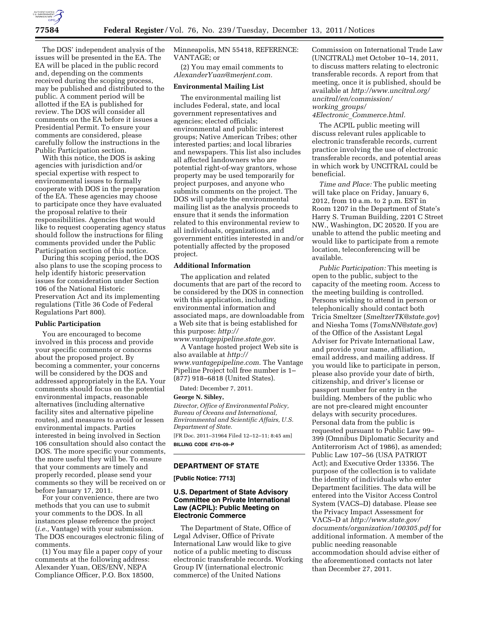

The DOS' independent analysis of the issues will be presented in the EA. The EA will be placed in the public record and, depending on the comments received during the scoping process, may be published and distributed to the public. A comment period will be allotted if the EA is published for review. The DOS will consider all comments on the EA before it issues a Presidential Permit. To ensure your comments are considered, please carefully follow the instructions in the Public Participation section.

With this notice, the DOS is asking agencies with jurisdiction and/or special expertise with respect to environmental issues to formally cooperate with DOS in the preparation of the EA. These agencies may choose to participate once they have evaluated the proposal relative to their responsibilities. Agencies that would like to request cooperating agency status should follow the instructions for filing comments provided under the Public Participation section of this notice.

During this scoping period, the DOS also plans to use the scoping process to help identify historic preservation issues for consideration under Section 106 of the National Historic Preservation Act and its implementing regulations (Title 36 Code of Federal Regulations Part 800).

### **Public Participation**

You are encouraged to become involved in this process and provide your specific comments or concerns about the proposed project. By becoming a commenter, your concerns will be considered by the DOS and addressed appropriately in the EA. Your comments should focus on the potential environmental impacts, reasonable alternatives (including alternative facility sites and alternative pipeline routes), and measures to avoid or lessen environmental impacts. Parties interested in being involved in Section 106 consultation should also contact the DOS. The more specific your comments, the more useful they will be. To ensure that your comments are timely and properly recorded, please send your comments so they will be received on or before January 17, 2011.

For your convenience, there are two methods that you can use to submit your comments to the DOS. In all instances please reference the project (*i.e.,* Vantage) with your submission. The DOS encourages electronic filing of comments.

(1) You may file a paper copy of your comments at the following address: Alexander Yuan, OES/ENV, NEPA Compliance Officer, P.O. Box 18500,

Minneapolis, MN 55418, REFERENCE: VANTAGE; or

(2) You may email comments to *[AlexanderYuan@merjent.com.](mailto:AlexanderYuan@merjent.com)* 

# **Environmental Mailing List**

The environmental mailing list includes Federal, state, and local government representatives and agencies; elected officials; environmental and public interest groups; Native American Tribes; other interested parties; and local libraries and newspapers. This list also includes all affected landowners who are potential right-of-way grantors, whose property may be used temporarily for project purposes, and anyone who submits comments on the project. The DOS will update the environmental mailing list as the analysis proceeds to ensure that it sends the information related to this environmental review to all individuals, organizations, and government entities interested in and/or potentially affected by the proposed project.

## **Additional Information**

The application and related documents that are part of the record to be considered by the DOS in connection with this application, including environmental information and associated maps, are downloadable from a Web site that is being established for this purpose: *[http://](http://www.vantagepipeline.state.gov)* 

*[www.vantagepipeline.state.gov.](http://www.vantagepipeline.state.gov)*  A Vantage hosted project Web site is also available at *[http://](http://www.vantagepipeline.com)  [www.vantagepipeline.com.](http://www.vantagepipeline.com)* The Vantage Pipeline Project toll free number is 1– (877) 918–6818 (United States).

Dated: December 7, 2011.

#### **George N. Sibley,**

*Director, Office of Environmental Policy, Bureau of Oceans and International, Environmental and Scientific Affairs, U.S. Department of State.* 

[FR Doc. 2011–31964 Filed 12–12–11; 8:45 am] **BILLING CODE 4710–09–P** 

### **DEPARTMENT OF STATE**

**[Public Notice: 7713]** 

# **U.S. Department of State Advisory Committee on Private International Law (ACPIL): Public Meeting on Electronic Commerce**

The Department of State, Office of Legal Adviser, Office of Private International Law would like to give notice of a public meeting to discuss electronic transferable records. Working Group IV (international electronic commerce) of the United Nations

Commission on International Trade Law (UNCITRAL) met October 10–14, 2011, to discuss matters relating to electronic transferable records. A report from that meeting, once it is published, should be available at *[http://www.uncitral.org/](http://www.uncitral.org/uncitral/en/commission/working_groups/4Electronic_Commerce.html)  [uncitral/en/commission/](http://www.uncitral.org/uncitral/en/commission/working_groups/4Electronic_Commerce.html)  [working](http://www.uncitral.org/uncitral/en/commission/working_groups/4Electronic_Commerce.html)*\_*groups/* 

*4Electronic*\_*[Commerce.html.](http://www.uncitral.org/uncitral/en/commission/working_groups/4Electronic_Commerce.html)* 

The ACPIL public meeting will discuss relevant rules applicable to electronic transferable records, current practice involving the use of electronic transferable records, and potential areas in which work by UNCITRAL could be beneficial.

*Time and Place:* The public meeting will take place on Friday, January 6, 2012, from 10 a.m. to 2 p.m. EST in Room 1207 in the Department of State's Harry S. Truman Building, 2201 C Street NW., Washington, DC 20520. If you are unable to attend the public meeting and would like to participate from a remote location, teleconferencing will be available.

*Public Participation:* This meeting is open to the public, subject to the capacity of the meeting room. Access to the meeting building is controlled. Persons wishing to attend in person or telephonically should contact both Tricia Smeltzer (*[SmeltzerTK@state.gov](mailto:SmeltzerTK@state.gov)*) and Niesha Toms (*[TomsNN@state.gov](mailto:TomsNN@state.gov)*) of the Office of the Assistant Legal Adviser for Private International Law, and provide your name, affiliation, email address, and mailing address. If you would like to participate in person, please also provide your date of birth, citizenship, and driver's license or passport number for entry in the building. Members of the public who are not pre-cleared might encounter delays with security procedures. Personal data from the public is requested pursuant to Public Law 99– 399 (Omnibus Diplomatic Security and Antiterrorism Act of 1986), as amended; Public Law 107–56 (USA PATRIOT Act); and Executive Order 13356. The purpose of the collection is to validate the identity of individuals who enter Department facilities. The data will be entered into the Visitor Access Control System (VACS–D) database. Please see the Privacy Impact Assessment for VACS–D at *[http://www.state.gov/](http://www.state.gov/documents/organization/100305.pdf) [documents/organization/100305.pdf](http://www.state.gov/documents/organization/100305.pdf)* for additional information. A member of the public needing reasonable accommodation should advise either of the aforementioned contacts not later than December 27, 2011.